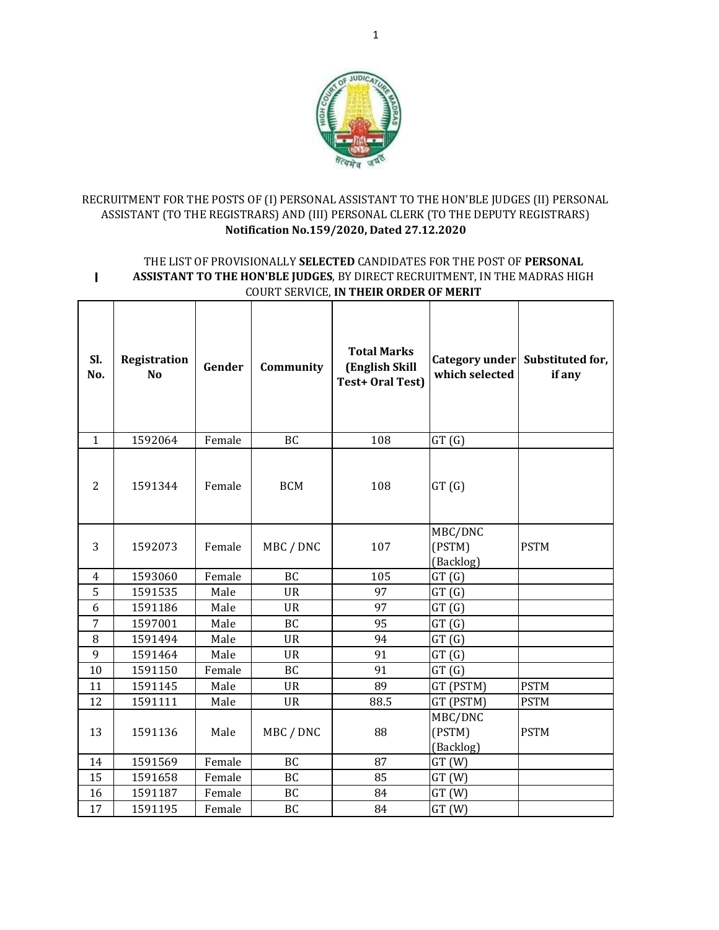

# RECRUITMENT FOR THE POSTS OF (I) PERSONAL ASSISTANT TO THE HON'BLE JUDGES (II) PERSONAL ASSISTANT (TO THE REGISTRARS) AND (III) PERSONAL CLERK (TO THE DEPUTY REGISTRARS) **Notification No.159/2020, Dated 27.12.2020**

#### **I** THE LIST OF PROVISIONALLY **SELECTED** CANDIDATES FOR THE POST OF **PERSONAL ASSISTANT TO THE HON'BLE JUDGES**, BY DIRECT RECRUITMENT, IN THE MADRAS HIGH COURT SERVICE, **IN THEIR ORDER OF MERIT**

| SI.<br>No.     | Registration<br><b>No</b> | Gender | Community  | <b>Total Marks</b><br>(English Skill<br>Test+ Oral Test) | Category under<br>which selected | Substituted for,<br>if any |
|----------------|---------------------------|--------|------------|----------------------------------------------------------|----------------------------------|----------------------------|
| $\mathbf{1}$   | 1592064                   | Female | BC         | 108                                                      | GT(G)                            |                            |
| $\overline{2}$ | 1591344                   | Female | <b>BCM</b> | 108                                                      | GT(G)                            |                            |
| 3              | 1592073                   | Female | MBC / DNC  | 107                                                      | MBC/DNC<br>(PSTM)<br>(Backlog)   | <b>PSTM</b>                |
| 4              | 1593060                   | Female | BC         | 105                                                      | GT(G)                            |                            |
| 5              | 1591535                   | Male   | <b>UR</b>  | 97                                                       | GT(G)                            |                            |
| 6              | 1591186                   | Male   | <b>UR</b>  | 97                                                       | GT(G)                            |                            |
| 7              | 1597001                   | Male   | <b>BC</b>  | 95                                                       | GT(G)                            |                            |
| 8              | 1591494                   | Male   | <b>UR</b>  | 94                                                       | GT(G)                            |                            |
| 9              | 1591464                   | Male   | <b>UR</b>  | 91                                                       | GT(G)                            |                            |
| 10             | 1591150                   | Female | BC         | 91                                                       | GT(G)                            |                            |
| 11             | 1591145                   | Male   | <b>UR</b>  | 89                                                       | GT (PSTM)                        | <b>PSTM</b>                |
| 12             | 1591111                   | Male   | <b>UR</b>  | 88.5                                                     | GT (PSTM)                        | <b>PSTM</b>                |
| 13             | 1591136                   | Male   | MBC / DNC  | 88                                                       | MBC/DNC<br>(PSTM)<br>(Backlog)   | <b>PSTM</b>                |
| 14             | 1591569                   | Female | <b>BC</b>  | 87                                                       | GT(W)                            |                            |
| 15             | 1591658                   | Female | <b>BC</b>  | 85                                                       | GT(W)                            |                            |
| 16             | 1591187                   | Female | BC         | 84                                                       | GT(W)                            |                            |
| 17             | 1591195                   | Female | <b>BC</b>  | 84                                                       | GT(W)                            |                            |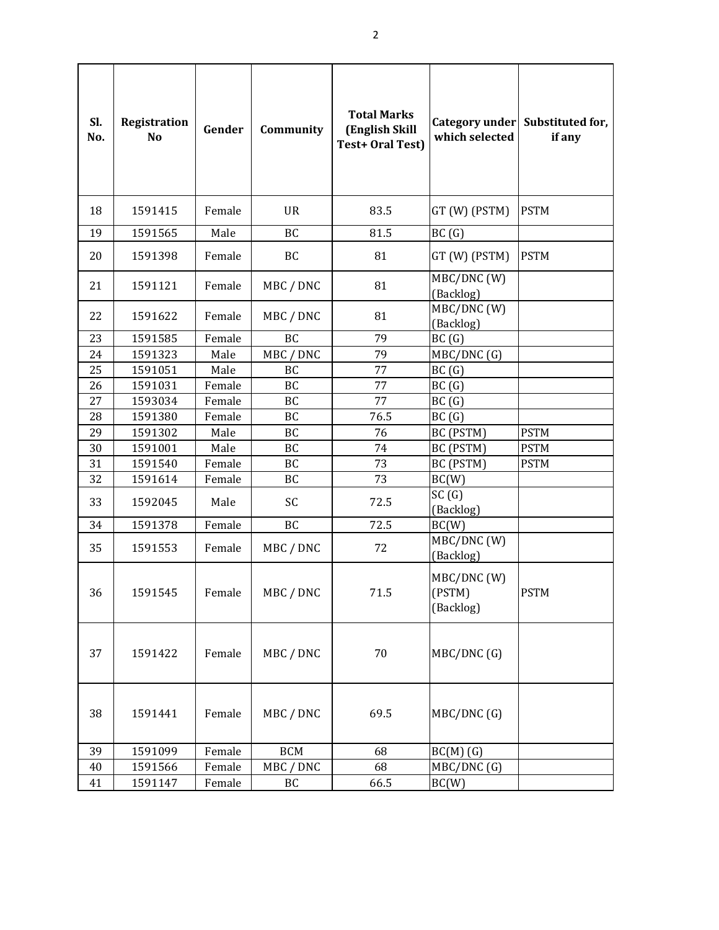| Sl.<br>No. | Registration<br>N <sub>o</sub> | Gender           | Community  | <b>Total Marks</b><br>(English Skill<br><b>Test+ Oral Test)</b> | which selected                     | Category under Substituted for,<br>if any |
|------------|--------------------------------|------------------|------------|-----------------------------------------------------------------|------------------------------------|-------------------------------------------|
| 18         | 1591415                        | Female           | <b>UR</b>  | 83.5                                                            | GT (W) (PSTM)                      | <b>PSTM</b>                               |
| 19         | 1591565                        | Male             | BC         | 81.5                                                            | BC(G)                              |                                           |
| 20         | 1591398                        | Female           | BC         | 81                                                              | GT (W) (PSTM)                      | <b>PSTM</b>                               |
| 21         | 1591121                        | Female           | MBC / DNC  | 81                                                              | MBC/DNC (W)<br>(Backlog)           |                                           |
| 22         | 1591622                        | Female           | MBC / DNC  | 81                                                              | MBC/DNC (W)<br>(Backlog)           |                                           |
| 23         | 1591585                        | Female           | <b>BC</b>  | 79                                                              | BC(G)                              |                                           |
| 24         | 1591323                        | Male             | MBC / DNC  | 79                                                              | MBC/DNC (G)                        |                                           |
| 25         | 1591051                        | Male             | BC         | 77                                                              | BC(G)                              |                                           |
| 26         | 1591031                        | Female           | BC         | 77                                                              | BC(G)                              |                                           |
| 27         | 1593034                        | Female           | BC         | 77                                                              | BC(G)                              |                                           |
| 28         | 1591380                        | Female           | BC         | 76.5                                                            | BC(G)                              |                                           |
| 29         | 1591302                        | Male             | BC         | 76                                                              | BC (PSTM)                          | <b>PSTM</b>                               |
| 30         | 1591001                        | Male             | BC         | 74<br>73                                                        | BC (PSTM)                          | <b>PSTM</b>                               |
| 31<br>32   | 1591540<br>1591614             | Female<br>Female | BC<br>BC   | 73                                                              | BC (PSTM)<br>BC(W)                 | <b>PSTM</b>                               |
|            |                                |                  |            |                                                                 | SC(G)                              |                                           |
| 33         | 1592045                        | Male             | SC         | 72.5                                                            | (Backlog)                          |                                           |
| 34         | 1591378                        | Female           | BC         | 72.5                                                            | BC(W)                              |                                           |
| 35         | 1591553                        | Female           | MBC / DNC  | 72                                                              | MBC/DNC (W)<br>(Backlog)           |                                           |
| 36         | 1591545                        | Female           | MBC / DNC  | 71.5                                                            | MBC/DNC (W)<br>(PSTM)<br>(Backlog) | <b>PSTM</b>                               |
| 37         | 1591422                        | Female           | MBC / DNC  | 70                                                              | MBC/DNC (G)                        |                                           |
| 38         | 1591441                        | Female           | MBC / DNC  | 69.5                                                            | MBC/DNC (G)                        |                                           |
| 39         | 1591099                        | Female           | <b>BCM</b> | 68                                                              | $BC(M)$ (G)                        |                                           |
| 40         | 1591566                        | Female           | MBC / DNC  | 68                                                              | MBC/DNC (G)                        |                                           |
| 41         | 1591147                        | Female           | BC         | 66.5                                                            | BC(W)                              |                                           |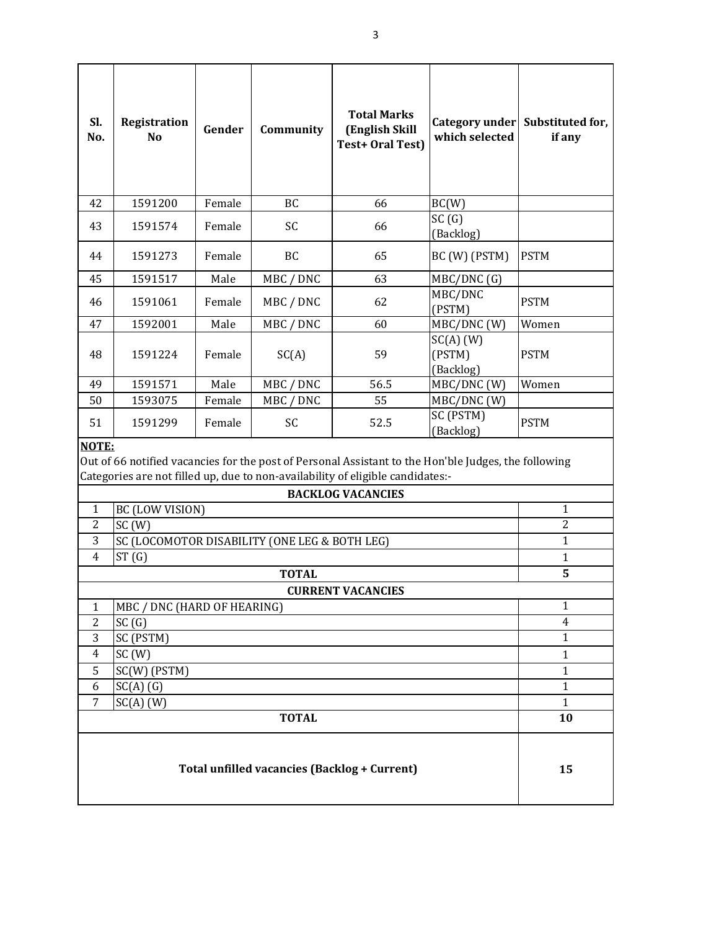| Sl.<br>No.                                                                                                                                                                                      | Registration<br>N <sub>0</sub> | Gender | Community | <b>Total Marks</b><br>(English Skill<br>Test+ Oral Test) | which selected                     | Category under Substituted for,<br>if any |
|-------------------------------------------------------------------------------------------------------------------------------------------------------------------------------------------------|--------------------------------|--------|-----------|----------------------------------------------------------|------------------------------------|-------------------------------------------|
| 42                                                                                                                                                                                              | 1591200                        | Female | <b>BC</b> | 66                                                       | BC(W)                              |                                           |
| 43                                                                                                                                                                                              | 1591574                        | Female | <b>SC</b> | 66                                                       | SC(G)<br>(Backlog)                 |                                           |
| 44                                                                                                                                                                                              | 1591273                        | Female | BC        | 65                                                       | BC (W) (PSTM)                      | <b>PSTM</b>                               |
| 45                                                                                                                                                                                              | 1591517                        | Male   | MBC / DNC | 63                                                       | MBC/DNC (G)                        |                                           |
| 46                                                                                                                                                                                              | 1591061                        | Female | MBC / DNC | 62                                                       | MBC/DNC<br>(PSTM)                  | <b>PSTM</b>                               |
| 47                                                                                                                                                                                              | 1592001                        | Male   | MBC / DNC | 60                                                       | MBC/DNC (W)                        | Women                                     |
| 48                                                                                                                                                                                              | 1591224                        | Female | SC(A)     | 59                                                       | $SC(A)$ (W)<br>(PSTM)<br>(Backlog) | <b>PSTM</b>                               |
| 49                                                                                                                                                                                              | 1591571                        | Male   | MBC / DNC | 56.5                                                     | MBC/DNC (W)                        | Women                                     |
| 50                                                                                                                                                                                              | 1593075                        | Female | MBC / DNC | 55                                                       | MBC/DNC (W)                        |                                           |
| 51                                                                                                                                                                                              | 1591299                        | Female | SC        | 52.5                                                     | SC (PSTM)<br>(Backlog)             | <b>PSTM</b>                               |
| NOTE:<br>Out of 66 notified vacancies for the post of Personal Assistant to the Hon'ble Judges, the following<br>Categories are not filled up, due to non-availability of eligible candidates:- |                                |        |           |                                                          |                                    |                                           |
| <b>BACKLOG VACANCIES</b>                                                                                                                                                                        |                                |        |           |                                                          |                                    |                                           |
| BC (LOW VISION)<br>1                                                                                                                                                                            |                                |        |           |                                                          |                                    | $\mathbf{1}$                              |
| 2<br>SC(W)                                                                                                                                                                                      |                                |        |           |                                                          | $\overline{2}$                     |                                           |
| $\overline{3}$<br>SC (LOCOMOTOR DISABILITY (ONE LEG & BOTH LEG)                                                                                                                                 |                                |        |           |                                                          |                                    | $\mathbf{1}$                              |
| ST(G)<br>4                                                                                                                                                                                      |                                |        |           |                                                          |                                    | $\mathbf{1}$                              |
| <b>TOTAL</b>                                                                                                                                                                                    |                                |        |           |                                                          |                                    | 5                                         |
| <b>CURRENT VACANCIES</b>                                                                                                                                                                        |                                |        |           |                                                          |                                    |                                           |
| MBC / DNC (HARD OF HEARING)<br>1                                                                                                                                                                |                                |        |           |                                                          | $\mathbf{1}$                       |                                           |
|                                                                                                                                                                                                 | SC(G)<br>$\overline{c}$        |        |           |                                                          |                                    | $\overline{4}$                            |
|                                                                                                                                                                                                 | 3<br>SC (PSTM)                 |        |           |                                                          |                                    | $\mathbf{1}$                              |
| $\overline{4}$<br>SC(W)                                                                                                                                                                         |                                |        |           |                                                          | $\mathbf{1}$                       |                                           |
| SC(W) (PSTM)<br>5<br>$SC(A)$ (G)<br>6                                                                                                                                                           |                                |        |           |                                                          | $\mathbf{1}$<br>$\mathbf{1}$       |                                           |
| 7<br>$SC(A)$ (W)                                                                                                                                                                                |                                |        |           |                                                          | $\mathbf{1}$                       |                                           |
| <b>TOTAL</b>                                                                                                                                                                                    |                                |        |           |                                                          | 10                                 |                                           |
|                                                                                                                                                                                                 |                                |        |           |                                                          |                                    |                                           |
| Total unfilled vacancies (Backlog + Current)                                                                                                                                                    |                                |        |           |                                                          |                                    | 15                                        |